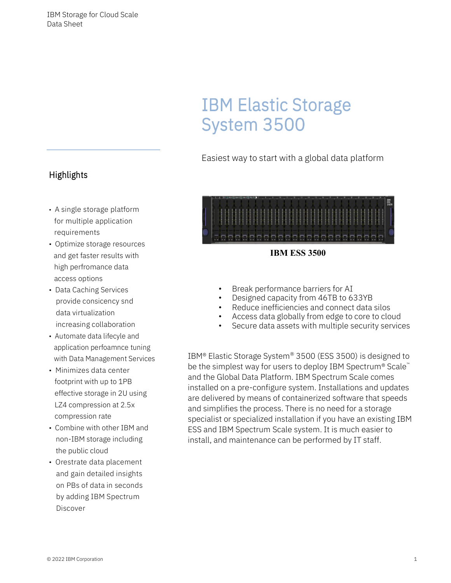# IBM Elastic Storage System 3500

Easiest way to start with a global data platform



- Break performance barriers for AI
- Designed capacity from 46TB to 633YB
- Reduce inefficiencies and connect data silos
- Access data globally from edge to core to cloud
- Secure data assets with multiple security services

IBM® Elastic Storage System® 3500 (ESS 3500) is designed to be the simplest way for users to deploy IBM Spectrum<sup>®</sup> Scale<sup>™</sup> and the Global Data Platform. IBM Spectrum Scale comes installed on a pre-configure system. Installations and updates are delivered by means of containerized software that speeds and simplifies the process. There is no need for a storage specialist or specialized installation if you have an existing IBM ESS and IBM Spectrum Scale system. It is much easier to install, and maintenance can be performed by IT staff.

## **Highlights**

- A single storage platform for multiple application requirements
- Optimize storage resources and get faster results with high perfromance data access options
- Data Caching Services provide consicency snd data virtualization increasing collaboration
- Automate data lifecyle and application perfoamnce tuning with Data Management Services
- Minimizes data center footprint with up to 1PB effective storage in 2U using LZ4 compression at 2.5x compression rate
- Combine with other IBM and non-IBM storage including the public cloud
- Orestrate data placement and gain detailed insights on PBs of data in seconds by adding IBM Spectrum Discover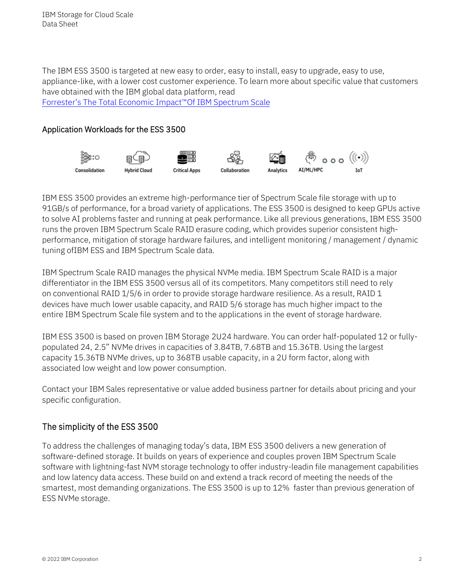The IBM ESS 3500 is targeted at new easy to order, easy to install, easy to upgrade, easy to use, appliance-like, with a lower cost customer experience. To learn more about specific value that customers have obtained with the IBM global data platform, read Forrester's The Total Economic [Impact™Of](https://www.ibm.com/downloads/cas/KY1EY12A) IBM Spectrum Scale

#### Application Workloads for the ESS 3500



IBM ESS 3500 provides an extreme high-performance tier of Spectrum Scale file storage with up to 91GB/s of performance, for a broad variety of applications. The ESS 3500 is designed to keep GPUs active to solve AI problems faster and running at peak performance. Like all previous generations, IBM ESS 3500 runs the proven IBM Spectrum Scale RAID erasure coding, which provides superior consistent highperformance, mitigation of storage hardware failures, and intelligent monitoring / management / dynamic tuning ofIBM ESS and IBM Spectrum Scale data.

IBM Spectrum Scale RAID manages the physical NVMe media. IBM Spectrum Scale RAID is a major differentiator in the IBM ESS 3500 versus all of its competitors. Many competitors still need to rely on conventional RAID 1/5/6 in order to provide storage hardware resilience. As a result, RAID 1 devices have much lower usable capacity, and RAID 5/6 storage has much higher impact to the entire IBM Spectrum Scale file system and to the applications in the event of storage hardware.

IBM ESS 3500 is based on proven IBM Storage 2U24 hardware. You can order half-populated 12 or fullypopulated 24, 2.5" NVMe drives in capacities of 3.84TB, 7.68TB and 15.36TB. Using the largest capacity 15.36TB NVMe drives, up to 368TB usable capacity, in a 2U form factor, along with associated low weight and low power consumption.

Contact your IBM Sales representative or value added business partner for details about pricing and your specific configuration.

#### The simplicity of the ESS 3500

To address the challenges of managing today's data, IBM ESS 3500 delivers a new generation of software-defined storage. It builds on years of experience and couples proven IBM Spectrum Scale software with lightning-fast NVM storage technology to offer industry-leadin file management capabilities and low latency data access. These build on and extend a track record of meeting the needs of the smartest, most demanding organizations. The ESS 3500 is up to 12% faster than previous generation of ESS NVMe storage.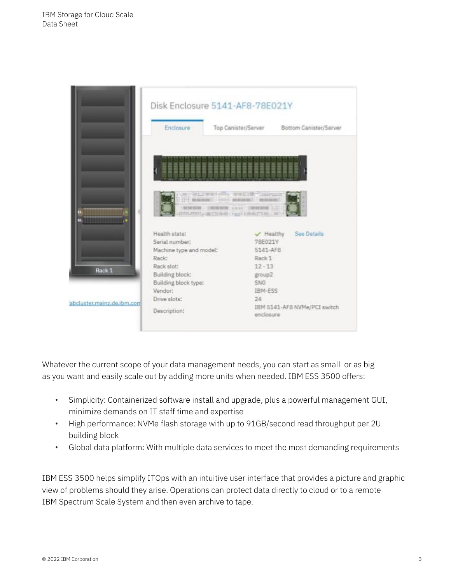

Whatever the current scope of your data management needs, you can start as small or as big as you want and easily scale out by adding more units when needed. IBM ESS 3500 offers:

- Simplicity: Containerized software install and upgrade, plus a powerful management GUI, minimize demands on IT staff time and expertise
- High performance: NVMe flash storage with up to 91GB/second read throughput per 2U building block
- Global data platform: With multiple data services to meet the most demanding requirements

IBM ESS 3500 helps simplify ITOps with an intuitive user interface that provides a picture and graphic view of problems should they arise. Operations can protect data directly to cloud or to a remote IBM Spectrum Scale System and then even archive to tape.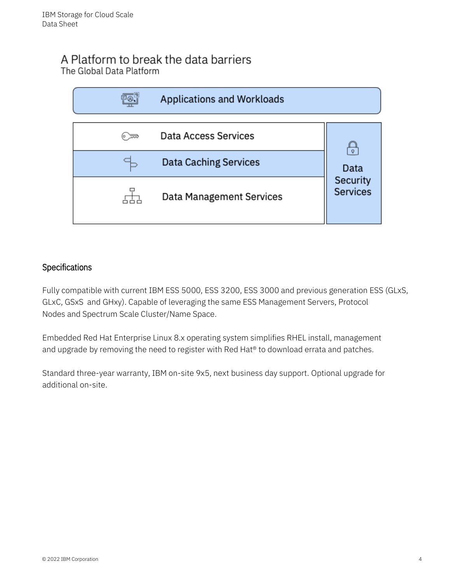## A Platform to break the data barriers The Global Data Platform



#### **Specifications**

Fully compatible with current IBM ESS 5000, ESS 3200, ESS 3000 and previous generation ESS (GLxS, GLxC, GSxS and GHxy). Capable of leveraging the same ESS Management Servers, Protocol Nodes and Spectrum Scale Cluster/Name Space.

Embedded Red Hat Enterprise Linux 8.x operating system simplifies RHEL install, management and upgrade by removing the need to register with Red Hat<sup>®</sup> to download errata and patches.

Standard three-year warranty, IBM on-site 9x5, next business day support. Optional upgrade for additional on-site.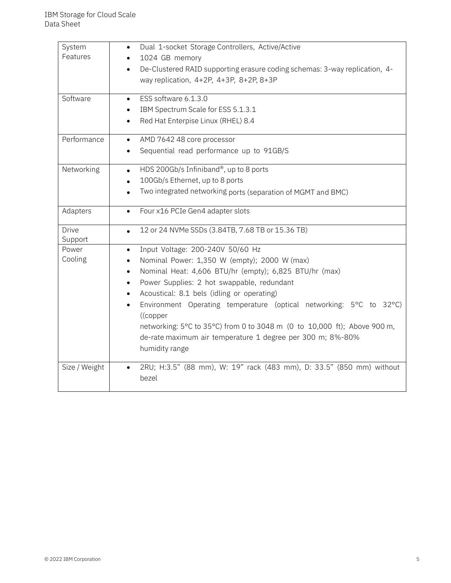| System                  | Dual 1-socket Storage Controllers, Active/Active                                             |
|-------------------------|----------------------------------------------------------------------------------------------|
| Features                | 1024 GB memory                                                                               |
|                         | De-Clustered RAID supporting erasure coding schemas: 3-way replication, 4-<br>$\bullet$      |
|                         | way replication, 4+2P, 4+3P, 8+2P, 8+3P                                                      |
| Software                | ESS software 6.1.3.0                                                                         |
|                         | $\bullet$                                                                                    |
|                         | IBM Spectrum Scale for ESS 5.1.3.1                                                           |
|                         | Red Hat Enterpise Linux (RHEL) 8.4                                                           |
| Performance             | AMD 7642 48 core processor<br>$\bullet$                                                      |
|                         | Sequential read performance up to 91GB/S                                                     |
| Networking              | HDS 200Gb/s Infiniband®, up to 8 ports<br>$\bullet$                                          |
|                         | 100Gb/s Ethernet, up to 8 ports                                                              |
|                         | Two integrated networking ports (separation of MGMT and BMC)                                 |
| Adapters                | Four x16 PCIe Gen4 adapter slots<br>$\bullet$                                                |
| <b>Drive</b><br>Support | 12 or 24 NVMe SSDs (3.84TB, 7.68 TB or 15.36 TB)<br>$\bullet$                                |
| Power                   | Input Voltage: 200-240V 50/60 Hz<br>$\bullet$                                                |
| Cooling                 | Nominal Power: 1,350 W (empty); 2000 W (max)                                                 |
|                         | Nominal Heat: 4,606 BTU/hr (empty); 6,825 BTU/hr (max)                                       |
|                         | Power Supplies: 2 hot swappable, redundant<br>$\bullet$                                      |
|                         | Acoustical: 8.1 bels (idling or operating)<br>$\bullet$                                      |
|                         | Environment Operating temperature (optical networking: 5°C to 32°C)<br>$\bullet$<br>((copper |
|                         | networking: 5°C to 35°C) from 0 to 3048 m (0 to 10,000 ft); Above 900 m,                     |
|                         | de-rate maximum air temperature 1 degree per 300 m; 8%-80%                                   |
|                         | humidity range                                                                               |
| Size / Weight           | 2RU; H:3.5" (88 mm), W: 19" rack (483 mm), D: 33.5" (850 mm) without                         |
|                         | bezel                                                                                        |
|                         |                                                                                              |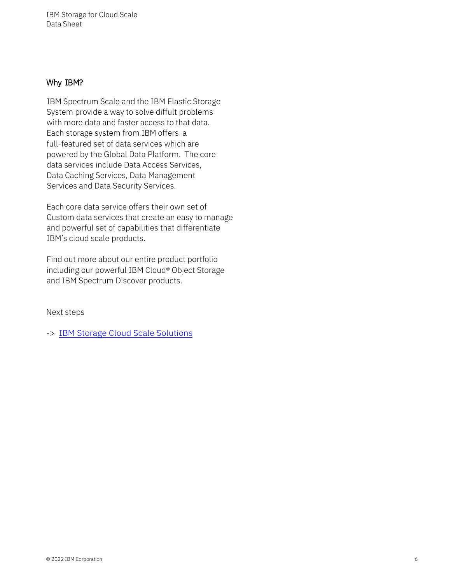IBM Storage for Cloud Scale Data Sheet

#### Why IBM?

IBM Spectrum Scale and the IBM Elastic Storage System provide a way to solve diffult problems with more data and faster access to that data. Each storage system from IBM offers a full-featured set of data services which are powered by the Global Data Platform. The core data services include Data Access Services, Data Caching Services, Data Management Services and Data Security Services.

Each core data service offers their own set of Custom data services that create an easy to manage and powerful set of capabilities that differentiate IBM's cloud scale products.

Find out more about our entire product portfolio including our powerful IBM Cloud® Object Storage and IBM Spectrum Discover products.

Next steps

-> [IBM Storage Cloud Scale Solutions](https://www.ibm.com/storage/artificial-intelligence)